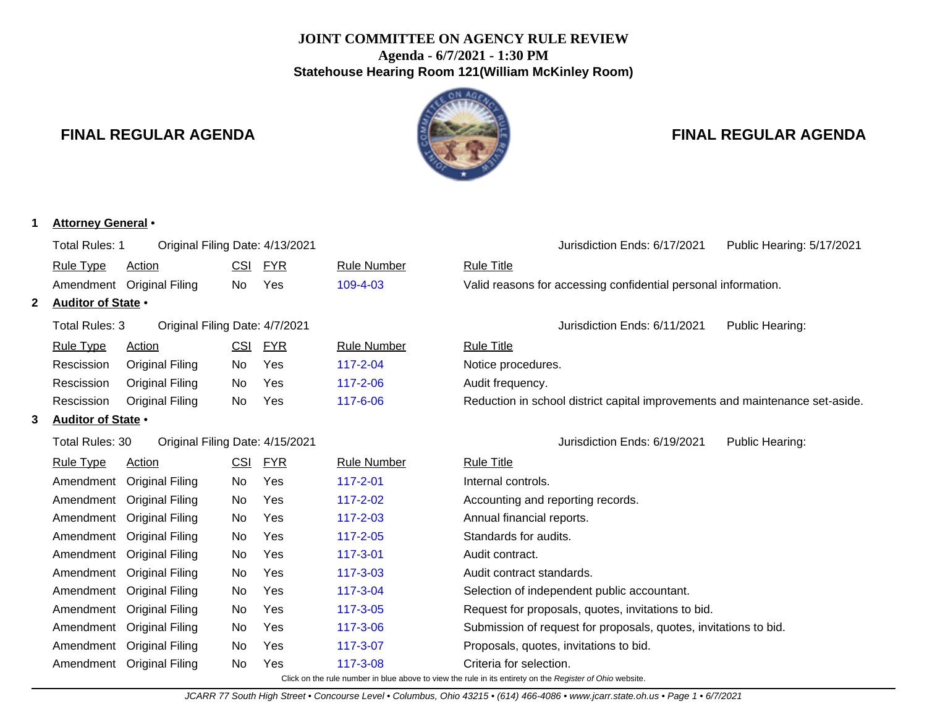# **JOINT COMMITTEE ON AGENCY RULE REVIEW Agenda - 6/7/2021 - 1:30 PM Statehouse Hearing Room 121(William McKinley Room)**

N AG

# **FINAL REGULAR AGENDA FINAL REGULAR AGENDA**

|   | <b>Attorney General</b> • |                                 |            |            |                    |                                                                              |
|---|---------------------------|---------------------------------|------------|------------|--------------------|------------------------------------------------------------------------------|
|   | <b>Total Rules: 1</b>     | Original Filing Date: 4/13/2021 |            |            |                    | Jurisdiction Ends: 6/17/2021<br>Public Hearing: 5/17/2021                    |
|   | <b>Rule Type</b>          | <b>Action</b>                   | <b>CSI</b> | <b>FYR</b> | <b>Rule Number</b> | <b>Rule Title</b>                                                            |
|   |                           | Amendment Original Filing       | No         | Yes        | 109-4-03           | Valid reasons for accessing confidential personal information.               |
| 2 | Auditor of State .        |                                 |            |            |                    |                                                                              |
|   | <b>Total Rules: 3</b>     | Original Filing Date: 4/7/2021  |            |            |                    | Jurisdiction Ends: 6/11/2021<br>Public Hearing:                              |
|   | <b>Rule Type</b>          | <b>Action</b>                   | <b>CSI</b> | <b>FYR</b> | <b>Rule Number</b> | <b>Rule Title</b>                                                            |
|   | Rescission                | <b>Original Filing</b>          | No         | Yes        | $117 - 2 - 04$     | Notice procedures.                                                           |
|   | Rescission                | <b>Original Filing</b>          | No         | Yes        | 117-2-06           | Audit frequency.                                                             |
|   | Rescission                | <b>Original Filing</b>          | No         | Yes        | 117-6-06           | Reduction in school district capital improvements and maintenance set-aside. |
| 3 | Auditor of State .        |                                 |            |            |                    |                                                                              |
|   | Total Rules: 30           | Original Filing Date: 4/15/2021 |            |            |                    | Jurisdiction Ends: 6/19/2021<br>Public Hearing:                              |
|   | <b>Rule Type</b>          | <b>Action</b>                   | CSI        | <b>FYR</b> | <b>Rule Number</b> | <b>Rule Title</b>                                                            |
|   | Amendment                 | <b>Original Filing</b>          | No         | Yes        | 117-2-01           | Internal controls.                                                           |
|   | Amendment                 | <b>Original Filing</b>          | No         | Yes        | $117 - 2 - 02$     | Accounting and reporting records.                                            |
|   | Amendment                 | <b>Original Filing</b>          | No         | Yes        | $117 - 2 - 03$     | Annual financial reports.                                                    |
|   | Amendment                 | <b>Original Filing</b>          | No         | Yes        | 117-2-05           | Standards for audits.                                                        |
|   | Amendment                 | <b>Original Filing</b>          | No         | Yes        | 117-3-01           | Audit contract.                                                              |
|   | Amendment                 | <b>Original Filing</b>          | No         | Yes        | $117 - 3 - 03$     | Audit contract standards.                                                    |
|   | Amendment                 | <b>Original Filing</b>          | No         | Yes        | 117-3-04           | Selection of independent public accountant.                                  |
|   | Amendment                 | <b>Original Filing</b>          | No         | Yes        | 117-3-05           | Request for proposals, quotes, invitations to bid.                           |
|   | Amendment                 | <b>Original Filing</b>          | No         | Yes        | 117-3-06           | Submission of request for proposals, quotes, invitations to bid.             |
|   | Amendment                 | <b>Original Filing</b>          | No         | Yes        | 117-3-07           | Proposals, quotes, invitations to bid.                                       |
|   |                           | Amendment Original Filing       | No         | Yes        | 117-3-08           | Criteria for selection.                                                      |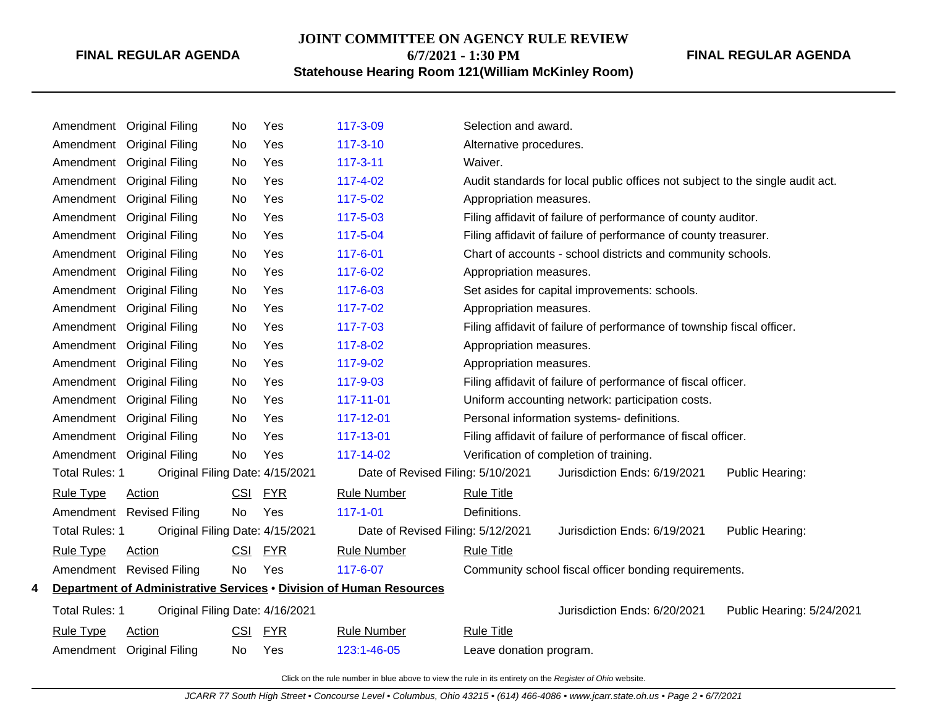# **JOINT COMMITTEE ON AGENCY RULE REVIEW 6/7/2021 - 1:30 PM**

## **Statehouse Hearing Room 121(William McKinley Room)**

**FINAL REGULAR AGENDA**

|   | Amendment             | <b>Original Filing</b>          | No         | Yes        | 117-3-09                                                            | Selection and award.                                                          |
|---|-----------------------|---------------------------------|------------|------------|---------------------------------------------------------------------|-------------------------------------------------------------------------------|
|   | Amendment             | <b>Original Filing</b>          | No         | Yes        | $117 - 3 - 10$                                                      | Alternative procedures.                                                       |
|   | Amendment             | <b>Original Filing</b>          | No         | Yes        | 117-3-11                                                            | Waiver.                                                                       |
|   | Amendment             | <b>Original Filing</b>          | No         | Yes        | 117-4-02                                                            | Audit standards for local public offices not subject to the single audit act. |
|   | Amendment             | <b>Original Filing</b>          | No         | Yes        | 117-5-02                                                            | Appropriation measures.                                                       |
|   | Amendment             | <b>Original Filing</b>          | No         | Yes        | 117-5-03                                                            | Filing affidavit of failure of performance of county auditor.                 |
|   |                       | Amendment Original Filing       | No         | Yes        | 117-5-04                                                            | Filing affidavit of failure of performance of county treasurer.               |
|   | Amendment             | <b>Original Filing</b>          | No         | Yes        | 117-6-01                                                            | Chart of accounts - school districts and community schools.                   |
|   | Amendment             | <b>Original Filing</b>          | No         | Yes        | 117-6-02                                                            | Appropriation measures.                                                       |
|   | Amendment             | <b>Original Filing</b>          | No         | Yes        | 117-6-03                                                            | Set asides for capital improvements: schools.                                 |
|   |                       | Amendment Original Filing       | No         | Yes        | 117-7-02                                                            | Appropriation measures.                                                       |
|   | Amendment             | <b>Original Filing</b>          | No         | Yes        | 117-7-03                                                            | Filing affidavit of failure of performance of township fiscal officer.        |
|   | Amendment             | <b>Original Filing</b>          | No         | Yes        | 117-8-02                                                            | Appropriation measures.                                                       |
|   | Amendment             | <b>Original Filing</b>          | No         | Yes        | 117-9-02                                                            | Appropriation measures.                                                       |
|   | Amendment             | <b>Original Filing</b>          | No         | Yes        | 117-9-03                                                            | Filing affidavit of failure of performance of fiscal officer.                 |
|   | Amendment             | <b>Original Filing</b>          | No         | Yes        | 117-11-01                                                           | Uniform accounting network: participation costs.                              |
|   | Amendment             | <b>Original Filing</b>          | No         | Yes        | 117-12-01                                                           | Personal information systems- definitions.                                    |
|   | Amendment             | <b>Original Filing</b>          | No         | Yes        | 117-13-01                                                           | Filing affidavit of failure of performance of fiscal officer.                 |
|   | Amendment             | <b>Original Filing</b>          | No         | Yes        | 117-14-02                                                           | Verification of completion of training.                                       |
|   | <b>Total Rules: 1</b> | Original Filing Date: 4/15/2021 |            |            | Date of Revised Filing: 5/10/2021                                   | Jurisdiction Ends: 6/19/2021<br>Public Hearing:                               |
|   | <b>Rule Type</b>      | Action                          | <b>CSI</b> | <b>FYR</b> | <b>Rule Number</b>                                                  | <b>Rule Title</b>                                                             |
|   |                       | Amendment Revised Filing        | <b>No</b>  | Yes        | $117 - 1 - 01$                                                      | Definitions.                                                                  |
|   | Total Rules: 1        | Original Filing Date: 4/15/2021 |            |            | Date of Revised Filing: 5/12/2021                                   | Jurisdiction Ends: 6/19/2021<br>Public Hearing:                               |
|   | <b>Rule Type</b>      | <b>Action</b>                   | CSI        | <u>FYR</u> | <b>Rule Number</b>                                                  | <b>Rule Title</b>                                                             |
|   | Amendment             | <b>Revised Filing</b>           | <b>No</b>  | Yes        | 117-6-07                                                            | Community school fiscal officer bonding requirements.                         |
| 4 |                       |                                 |            |            | Department of Administrative Services . Division of Human Resources |                                                                               |
|   | Total Rules: 1        | Original Filing Date: 4/16/2021 |            |            |                                                                     | Jurisdiction Ends: 6/20/2021<br>Public Hearing: 5/24/2021                     |
|   | <b>Rule Type</b>      | <b>Action</b>                   | CSI        | <b>FYR</b> | <b>Rule Number</b>                                                  | <b>Rule Title</b>                                                             |
|   |                       | Amendment Original Filing       | No         | Yes        | 123:1-46-05                                                         | Leave donation program.                                                       |
|   |                       |                                 |            |            |                                                                     |                                                                               |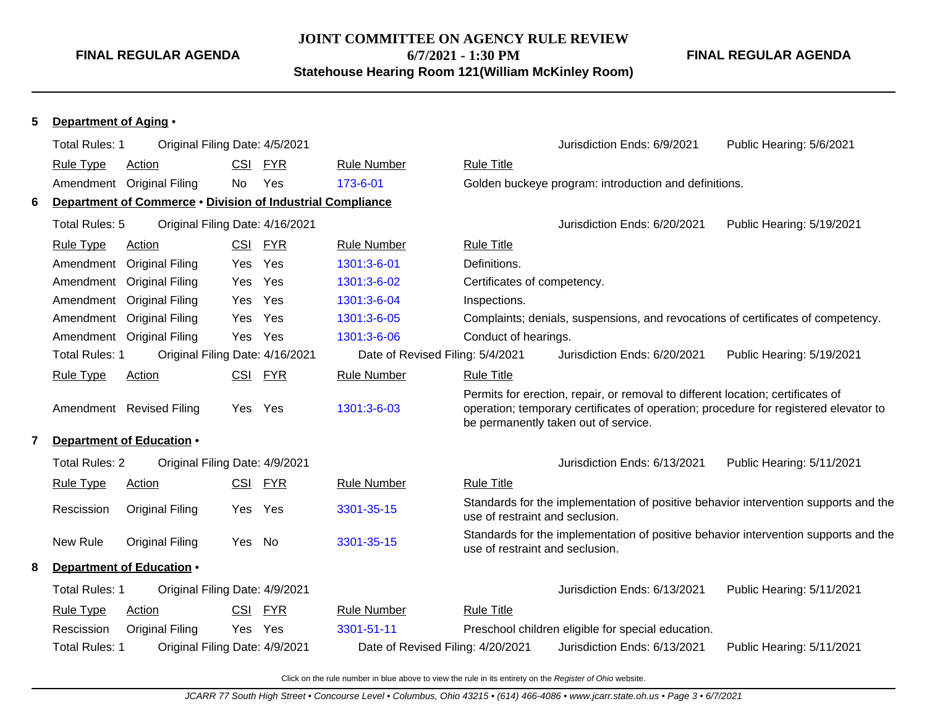# **JOINT COMMITTEE ON AGENCY RULE REVIEW**

**6/7/2021 - 1:30 PM**

**Statehouse Hearing Room 121(William McKinley Room)**

**FINAL REGULAR AGENDA**

#### **5 Department of Aging** •

|   | <b>Total Rules: 1</b> | Original Filing Date: 4/5/2021                             |            |            |                                   |                                 | Jurisdiction Ends: 6/9/2021                                                                                                                                                                                     | Public Hearing: 5/6/2021                                                            |
|---|-----------------------|------------------------------------------------------------|------------|------------|-----------------------------------|---------------------------------|-----------------------------------------------------------------------------------------------------------------------------------------------------------------------------------------------------------------|-------------------------------------------------------------------------------------|
|   | <b>Rule Type</b>      | Action                                                     | <b>CSI</b> | <b>FYR</b> | <b>Rule Number</b>                | <b>Rule Title</b>               |                                                                                                                                                                                                                 |                                                                                     |
|   |                       | Amendment Original Filing                                  | No         | Yes        | 173-6-01                          |                                 | Golden buckeye program: introduction and definitions.                                                                                                                                                           |                                                                                     |
| 6 |                       | Department of Commerce . Division of Industrial Compliance |            |            |                                   |                                 |                                                                                                                                                                                                                 |                                                                                     |
|   | Total Rules: 5        | Original Filing Date: 4/16/2021                            |            |            |                                   |                                 | Jurisdiction Ends: 6/20/2021                                                                                                                                                                                    | Public Hearing: 5/19/2021                                                           |
|   | <b>Rule Type</b>      | <b>Action</b>                                              |            | CSI FYR    | <b>Rule Number</b>                | <b>Rule Title</b>               |                                                                                                                                                                                                                 |                                                                                     |
|   |                       | Amendment Original Filing                                  | Yes        | Yes        | 1301:3-6-01                       | Definitions.                    |                                                                                                                                                                                                                 |                                                                                     |
|   |                       | Amendment Original Filing                                  | Yes        | Yes        | 1301:3-6-02                       | Certificates of competency.     |                                                                                                                                                                                                                 |                                                                                     |
|   |                       | Amendment Original Filing                                  | Yes        | Yes        | 1301:3-6-04                       | Inspections.                    |                                                                                                                                                                                                                 |                                                                                     |
|   |                       | Amendment Original Filing                                  | Yes        | Yes        | 1301:3-6-05                       |                                 | Complaints; denials, suspensions, and revocations of certificates of competency.                                                                                                                                |                                                                                     |
|   |                       | Amendment Original Filing                                  | Yes        | Yes        | 1301:3-6-06                       | Conduct of hearings.            |                                                                                                                                                                                                                 |                                                                                     |
|   | <b>Total Rules: 1</b> | Original Filing Date: 4/16/2021                            |            |            | Date of Revised Filing: 5/4/2021  |                                 | Jurisdiction Ends: 6/20/2021                                                                                                                                                                                    | Public Hearing: 5/19/2021                                                           |
|   | <b>Rule Type</b>      | Action                                                     | CSI        | <b>FYR</b> | <b>Rule Number</b>                | <b>Rule Title</b>               |                                                                                                                                                                                                                 |                                                                                     |
|   |                       | Amendment Revised Filing                                   | Yes        | Yes        | 1301:3-6-03                       |                                 | Permits for erection, repair, or removal to different location; certificates of<br>operation; temporary certificates of operation; procedure for registered elevator to<br>be permanently taken out of service. |                                                                                     |
| 7 |                       | Department of Education .                                  |            |            |                                   |                                 |                                                                                                                                                                                                                 |                                                                                     |
|   | <b>Total Rules: 2</b> | Original Filing Date: 4/9/2021                             |            |            |                                   |                                 | Jurisdiction Ends: 6/13/2021                                                                                                                                                                                    | Public Hearing: 5/11/2021                                                           |
|   | <b>Rule Type</b>      | <b>Action</b>                                              | CSI        | <u>FYR</u> | <b>Rule Number</b>                | <b>Rule Title</b>               |                                                                                                                                                                                                                 |                                                                                     |
|   | Rescission            | <b>Original Filing</b>                                     | Yes        | Yes        | 3301-35-15                        | use of restraint and seclusion. |                                                                                                                                                                                                                 | Standards for the implementation of positive behavior intervention supports and the |
|   | New Rule              | <b>Original Filing</b>                                     | Yes        | No         | 3301-35-15                        | use of restraint and seclusion. |                                                                                                                                                                                                                 | Standards for the implementation of positive behavior intervention supports and the |
| 8 |                       | Department of Education •                                  |            |            |                                   |                                 |                                                                                                                                                                                                                 |                                                                                     |
|   | <b>Total Rules: 1</b> | Original Filing Date: 4/9/2021                             |            |            |                                   |                                 | Jurisdiction Ends: 6/13/2021                                                                                                                                                                                    | Public Hearing: 5/11/2021                                                           |
|   | <b>Rule Type</b>      | <b>Action</b>                                              | <u>CSI</u> | <b>FYR</b> | <b>Rule Number</b>                | <b>Rule Title</b>               |                                                                                                                                                                                                                 |                                                                                     |
|   | Rescission            | Original Filing                                            | Yes        | Yes        | 3301-51-11                        |                                 | Preschool children eligible for special education.                                                                                                                                                              |                                                                                     |
|   | <b>Total Rules: 1</b> | Original Filing Date: 4/9/2021                             |            |            | Date of Revised Filing: 4/20/2021 |                                 | Jurisdiction Ends: 6/13/2021                                                                                                                                                                                    | Public Hearing: 5/11/2021                                                           |
|   |                       |                                                            |            |            |                                   |                                 |                                                                                                                                                                                                                 |                                                                                     |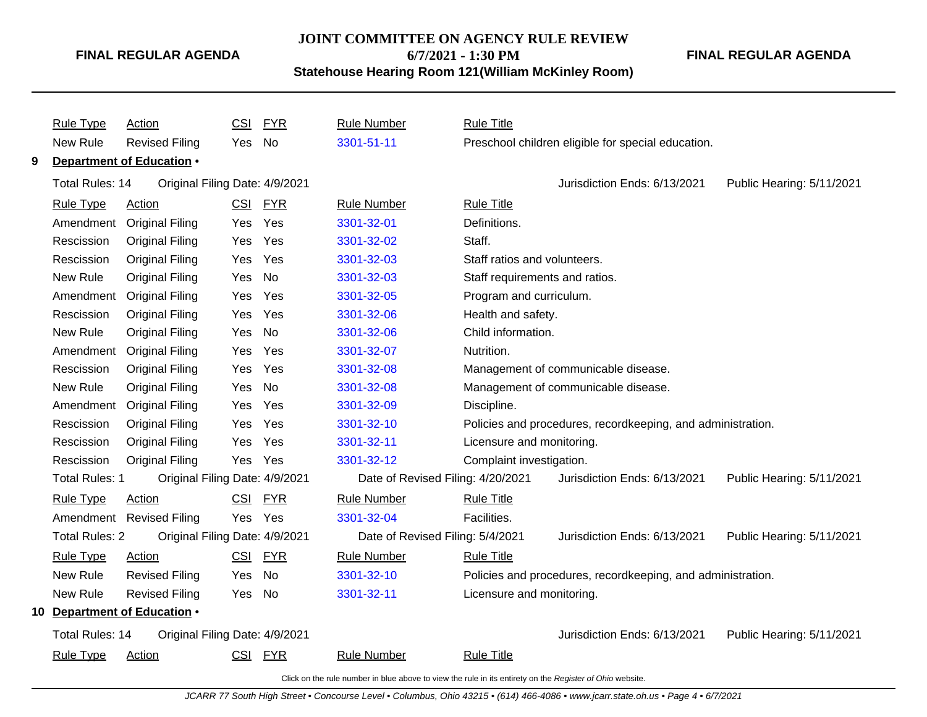#### **JOINT COMMITTEE ON AGENCY RULE REVIEW**

**6/7/2021 - 1:30 PM**

**Statehouse Hearing Room 121(William McKinley Room)**

**FINAL REGULAR AGENDA**

|   | <b>Rule Type</b>      | Action                         | <u>CSI</u> | <b>FYR</b> | <b>Rule Number</b>                | <b>Rule Title</b>                                           |
|---|-----------------------|--------------------------------|------------|------------|-----------------------------------|-------------------------------------------------------------|
|   | New Rule              | <b>Revised Filing</b>          | Yes        | No         | 3301-51-11                        | Preschool children eligible for special education.          |
| 9 |                       | Department of Education .      |            |            |                                   |                                                             |
|   | Total Rules: 14       | Original Filing Date: 4/9/2021 |            |            |                                   | Jurisdiction Ends: 6/13/2021<br>Public Hearing: 5/11/2021   |
|   | <b>Rule Type</b>      | Action                         | CSI        | <b>FYR</b> | <b>Rule Number</b>                | <b>Rule Title</b>                                           |
|   | Amendment             | <b>Original Filing</b>         | Yes        | Yes        | 3301-32-01                        | Definitions.                                                |
|   | Rescission            | <b>Original Filing</b>         | Yes        | Yes        | 3301-32-02                        | Staff.                                                      |
|   | Rescission            | <b>Original Filing</b>         | Yes        | Yes        | 3301-32-03                        | Staff ratios and volunteers.                                |
|   | New Rule              | <b>Original Filing</b>         | Yes        | No         | 3301-32-03                        | Staff requirements and ratios.                              |
|   | Amendment             | <b>Original Filing</b>         | Yes        | Yes        | 3301-32-05                        | Program and curriculum.                                     |
|   | Rescission            | <b>Original Filing</b>         | Yes        | Yes        | 3301-32-06                        | Health and safety.                                          |
|   | New Rule              | Original Filing                | Yes        | No         | 3301-32-06                        | Child information.                                          |
|   | Amendment             | <b>Original Filing</b>         | Yes        | Yes        | 3301-32-07                        | Nutrition.                                                  |
|   | Rescission            | <b>Original Filing</b>         | Yes        | Yes        | 3301-32-08                        | Management of communicable disease.                         |
|   | New Rule              | <b>Original Filing</b>         | Yes        | No         | 3301-32-08                        | Management of communicable disease.                         |
|   |                       | Amendment Original Filing      | Yes        | Yes        | 3301-32-09                        | Discipline.                                                 |
|   | Rescission            | <b>Original Filing</b>         | Yes        | Yes        | 3301-32-10                        | Policies and procedures, recordkeeping, and administration. |
|   | Rescission            | <b>Original Filing</b>         | Yes        | Yes        | 3301-32-11                        | Licensure and monitoring.                                   |
|   | Rescission            | <b>Original Filing</b>         | Yes        | Yes        | 3301-32-12                        | Complaint investigation.                                    |
|   | <b>Total Rules: 1</b> | Original Filing Date: 4/9/2021 |            |            | Date of Revised Filing: 4/20/2021 | Jurisdiction Ends: 6/13/2021<br>Public Hearing: 5/11/2021   |
|   | <b>Rule Type</b>      | Action                         | <u>CSI</u> | <u>FYR</u> | <b>Rule Number</b>                | <b>Rule Title</b>                                           |
|   |                       | Amendment Revised Filing       | Yes        | Yes        | 3301-32-04                        | Facilities.                                                 |
|   | <b>Total Rules: 2</b> | Original Filing Date: 4/9/2021 |            |            | Date of Revised Filing: 5/4/2021  | Jurisdiction Ends: 6/13/2021<br>Public Hearing: 5/11/2021   |
|   | <b>Rule Type</b>      | Action                         |            | CSI FYR    | <b>Rule Number</b>                | <b>Rule Title</b>                                           |
|   | New Rule              | <b>Revised Filing</b>          | Yes        | <b>No</b>  | 3301-32-10                        | Policies and procedures, recordkeeping, and administration. |
|   | New Rule              | <b>Revised Filing</b>          | Yes        | No         | 3301-32-11                        | Licensure and monitoring.                                   |
|   |                       | 10 Department of Education .   |            |            |                                   |                                                             |
|   | Total Rules: 14       | Original Filing Date: 4/9/2021 |            |            |                                   | Jurisdiction Ends: 6/13/2021<br>Public Hearing: 5/11/2021   |
|   | <b>Rule Type</b>      | Action                         |            | CSI FYR    | <b>Rule Number</b>                | <b>Rule Title</b>                                           |
|   |                       |                                |            |            |                                   |                                                             |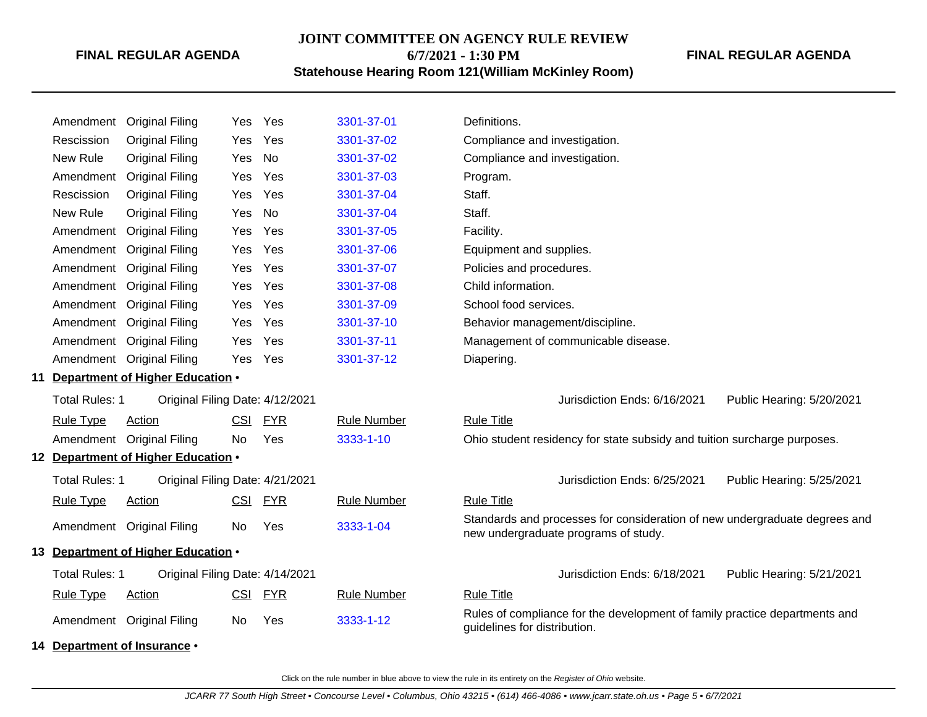### **JOINT COMMITTEE ON AGENCY RULE REVIEW 6/7/2021 - 1:30 PM**

**FINAL REGULAR AGENDA**

**Statehouse Hearing Room 121(William McKinley Room)**

| Amendment             | <b>Original Filing</b>              | Yes.       | Yes        | 3301-37-01         | Definitions.                                                                                                       |
|-----------------------|-------------------------------------|------------|------------|--------------------|--------------------------------------------------------------------------------------------------------------------|
| Rescission            | Original Filing                     | Yes        | Yes        | 3301-37-02         | Compliance and investigation.                                                                                      |
| New Rule              | <b>Original Filing</b>              | Yes        | <b>No</b>  | 3301-37-02         | Compliance and investigation.                                                                                      |
| Amendment             | <b>Original Filing</b>              | Yes        | Yes        | 3301-37-03         | Program.                                                                                                           |
| Rescission            | Original Filing                     | Yes        | Yes        | 3301-37-04         | Staff.                                                                                                             |
| New Rule              | Original Filing                     | Yes        | <b>No</b>  | 3301-37-04         | Staff.                                                                                                             |
|                       | Amendment Original Filing           | Yes        | Yes        | 3301-37-05         | Facility.                                                                                                          |
| Amendment             | <b>Original Filing</b>              | Yes        | Yes        | 3301-37-06         | Equipment and supplies.                                                                                            |
| Amendment             | <b>Original Filing</b>              | Yes        | Yes        | 3301-37-07         | Policies and procedures.                                                                                           |
|                       | Amendment Original Filing           | Yes        | Yes        | 3301-37-08         | Child information.                                                                                                 |
|                       | Amendment Original Filing           | Yes        | Yes        | 3301-37-09         | School food services.                                                                                              |
|                       | Amendment Original Filing           | Yes        | Yes        | 3301-37-10         | Behavior management/discipline.                                                                                    |
|                       | Amendment Original Filing           | Yes        | Yes        | 3301-37-11         | Management of communicable disease.                                                                                |
|                       | Amendment Original Filing           | Yes        | Yes        | 3301-37-12         | Diapering.                                                                                                         |
|                       | 11 Department of Higher Education . |            |            |                    |                                                                                                                    |
| Total Rules: 1        | Original Filing Date: 4/12/2021     |            |            |                    | Jurisdiction Ends: 6/16/2021<br>Public Hearing: 5/20/2021                                                          |
| <b>Rule Type</b>      | <b>Action</b>                       | CSI        | <b>FYR</b> | <b>Rule Number</b> | <b>Rule Title</b>                                                                                                  |
|                       | Amendment Original Filing           | No.        | Yes        | 3333-1-10          | Ohio student residency for state subsidy and tuition surcharge purposes.                                           |
|                       | 12 Department of Higher Education . |            |            |                    |                                                                                                                    |
| <b>Total Rules: 1</b> | Original Filing Date: 4/21/2021     |            |            |                    | Jurisdiction Ends: 6/25/2021<br>Public Hearing: 5/25/2021                                                          |
| <b>Rule Type</b>      | Action                              | CSI        | <b>FYR</b> | <b>Rule Number</b> | <b>Rule Title</b>                                                                                                  |
|                       | Amendment Original Filing           | No         | Yes        | 3333-1-04          | Standards and processes for consideration of new undergraduate degrees and<br>new undergraduate programs of study. |
|                       | 13 Department of Higher Education . |            |            |                    |                                                                                                                    |
| <b>Total Rules: 1</b> | Original Filing Date: 4/14/2021     |            |            |                    | Jurisdiction Ends: 6/18/2021<br>Public Hearing: 5/21/2021                                                          |
| <b>Rule Type</b>      | Action                              | <b>CSI</b> | <b>FYR</b> | <b>Rule Number</b> | <b>Rule Title</b>                                                                                                  |
|                       | Amendment Original Filing           | No.        | Yes        | 3333-1-12          | Rules of compliance for the development of family practice departments and<br>guidelines for distribution.         |
|                       | 14 Department of Insurance •        |            |            |                    |                                                                                                                    |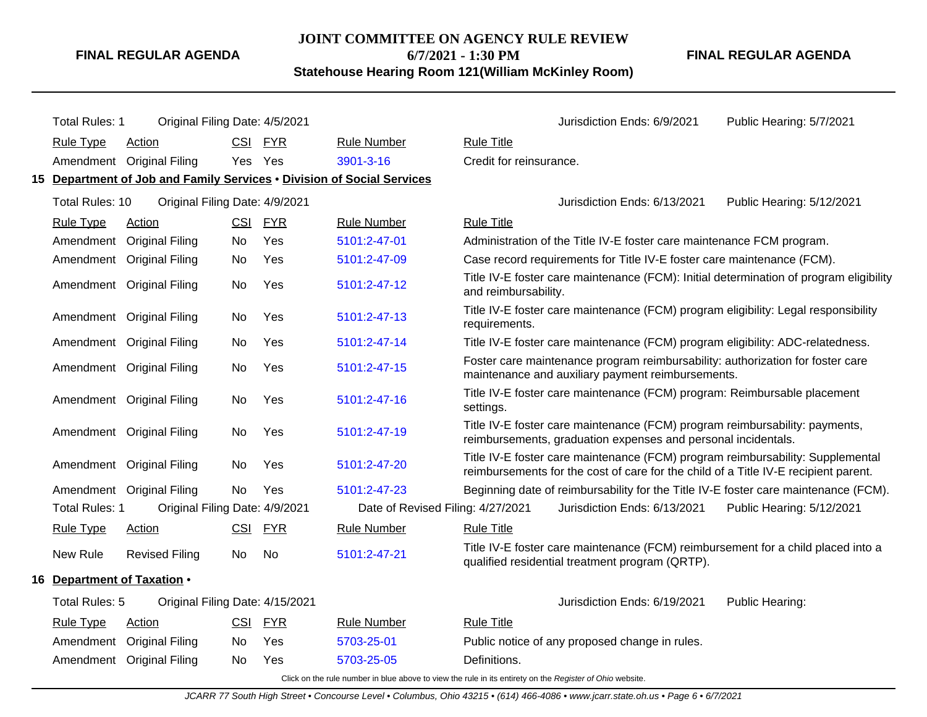## **JOINT COMMITTEE ON AGENCY RULE REVIEW**

**6/7/2021 - 1:30 PM**

**Statehouse Hearing Room 121(William McKinley Room)**

**FINAL REGULAR AGENDA**

| <b>Total Rules: 1</b>       | Original Filing Date: 4/5/2021                                         |            |            |                                   |                         | Jurisdiction Ends: 6/9/2021                                                                                                                                           | Public Hearing: 5/7/2021                                                               |
|-----------------------------|------------------------------------------------------------------------|------------|------------|-----------------------------------|-------------------------|-----------------------------------------------------------------------------------------------------------------------------------------------------------------------|----------------------------------------------------------------------------------------|
| <b>Rule Type</b>            | <b>Action</b>                                                          | <b>CSI</b> | <b>FYR</b> | <b>Rule Number</b>                | <b>Rule Title</b>       |                                                                                                                                                                       |                                                                                        |
|                             | Amendment Original Filing                                              | Yes Yes    |            | 3901-3-16                         | Credit for reinsurance. |                                                                                                                                                                       |                                                                                        |
|                             | 15 Department of Job and Family Services • Division of Social Services |            |            |                                   |                         |                                                                                                                                                                       |                                                                                        |
| Total Rules: 10             | Original Filing Date: 4/9/2021                                         |            |            |                                   |                         | Jurisdiction Ends: 6/13/2021                                                                                                                                          | Public Hearing: 5/12/2021                                                              |
| <b>Rule Type</b>            | Action                                                                 | <b>CSI</b> | <b>FYR</b> | <b>Rule Number</b>                | <b>Rule Title</b>       |                                                                                                                                                                       |                                                                                        |
|                             | Amendment Original Filing                                              | No         | Yes        | 5101:2-47-01                      |                         | Administration of the Title IV-E foster care maintenance FCM program.                                                                                                 |                                                                                        |
|                             | Amendment Original Filing                                              | No         | Yes        | 5101:2-47-09                      |                         | Case record requirements for Title IV-E foster care maintenance (FCM).                                                                                                |                                                                                        |
|                             | Amendment Original Filing                                              | No         | Yes        | 5101:2-47-12                      | and reimbursability.    |                                                                                                                                                                       | Title IV-E foster care maintenance (FCM): Initial determination of program eligibility |
|                             | Amendment Original Filing                                              | No.        | <b>Yes</b> | 5101:2-47-13                      | requirements.           | Title IV-E foster care maintenance (FCM) program eligibility: Legal responsibility                                                                                    |                                                                                        |
|                             | Amendment Original Filing                                              | No.        | Yes        | 5101:2-47-14                      |                         | Title IV-E foster care maintenance (FCM) program eligibility: ADC-relatedness.                                                                                        |                                                                                        |
|                             | Amendment Original Filing                                              | No         | Yes        | 5101:2-47-15                      |                         | Foster care maintenance program reimbursability: authorization for foster care<br>maintenance and auxiliary payment reimbursements.                                   |                                                                                        |
|                             | Amendment Original Filing                                              | No         | Yes        | 5101:2-47-16                      | settings.               | Title IV-E foster care maintenance (FCM) program: Reimbursable placement                                                                                              |                                                                                        |
|                             | Amendment Original Filing                                              | No.        | <b>Yes</b> | 5101:2-47-19                      |                         | Title IV-E foster care maintenance (FCM) program reimbursability: payments,<br>reimbursements, graduation expenses and personal incidentals.                          |                                                                                        |
|                             | Amendment Original Filing                                              | No         | Yes        | 5101:2-47-20                      |                         | Title IV-E foster care maintenance (FCM) program reimbursability: Supplemental<br>reimbursements for the cost of care for the child of a Title IV-E recipient parent. |                                                                                        |
|                             | Amendment Original Filing                                              | No.        | Yes        | 5101:2-47-23                      |                         | Beginning date of reimbursability for the Title IV-E foster care maintenance (FCM).                                                                                   |                                                                                        |
| <b>Total Rules: 1</b>       | Original Filing Date: 4/9/2021                                         |            |            | Date of Revised Filing: 4/27/2021 |                         | Jurisdiction Ends: 6/13/2021                                                                                                                                          | Public Hearing: 5/12/2021                                                              |
| <b>Rule Type</b>            | Action                                                                 | <b>CSI</b> | <u>FYR</u> | <b>Rule Number</b>                | <b>Rule Title</b>       |                                                                                                                                                                       |                                                                                        |
| New Rule                    | <b>Revised Filing</b>                                                  | No.        | No         | 5101:2-47-21                      |                         | Title IV-E foster care maintenance (FCM) reimbursement for a child placed into a<br>qualified residential treatment program (QRTP).                                   |                                                                                        |
| 16 Department of Taxation . |                                                                        |            |            |                                   |                         |                                                                                                                                                                       |                                                                                        |
| Total Rules: 5              | Original Filing Date: 4/15/2021                                        |            |            |                                   |                         | Jurisdiction Ends: 6/19/2021                                                                                                                                          | Public Hearing:                                                                        |
| <b>Rule Type</b>            | Action                                                                 | <b>CSI</b> | <b>FYR</b> | <b>Rule Number</b>                | <b>Rule Title</b>       |                                                                                                                                                                       |                                                                                        |
| Amendment                   | <b>Original Filing</b>                                                 | No.        | Yes        | 5703-25-01                        |                         | Public notice of any proposed change in rules.                                                                                                                        |                                                                                        |
|                             | Amendment Original Filing                                              | No.        | Yes        | 5703-25-05                        | Definitions.            |                                                                                                                                                                       |                                                                                        |
|                             |                                                                        |            |            |                                   |                         |                                                                                                                                                                       |                                                                                        |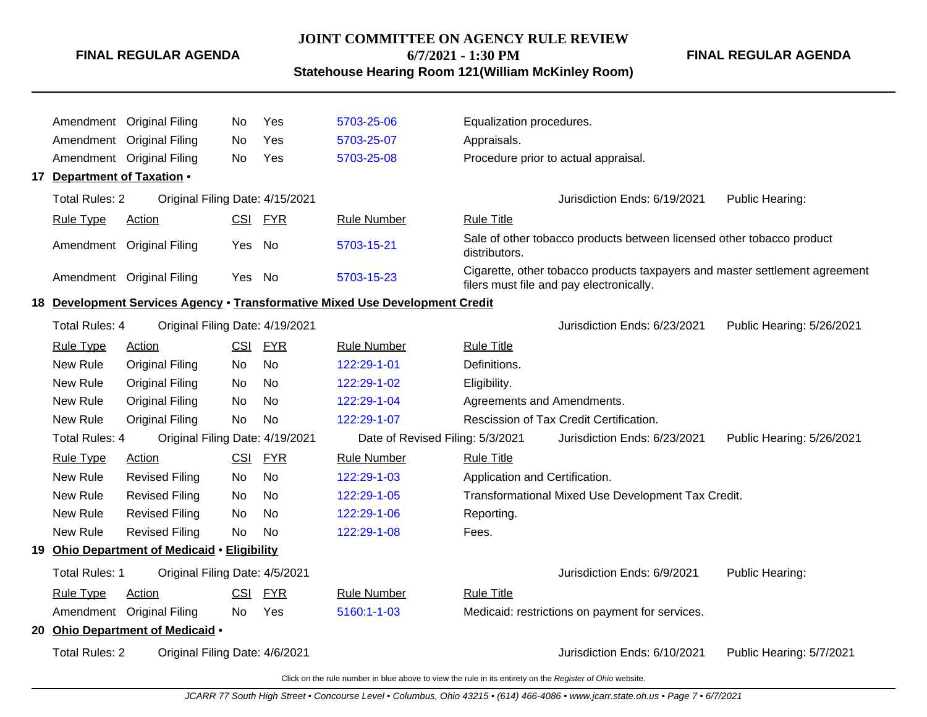# **JOINT COMMITTEE ON AGENCY RULE REVIEW**

**6/7/2021 - 1:30 PM**

**Statehouse Hearing Room 121(William McKinley Room)**

**FINAL REGULAR AGENDA**

Amendment Original Filing No Yes [5703-25-06](http://www.registerofohio.state.oh.us/jsps/publicdisplayrules/processPublicDisplayRules.jsp?entered_rule_no=5703-25-06&doWhat=GETBYRULENUM&raID=0) Equalization procedures. Amendment Original Filing No Yes [5703-25-07](http://www.registerofohio.state.oh.us/jsps/publicdisplayrules/processPublicDisplayRules.jsp?entered_rule_no=5703-25-07&doWhat=GETBYRULENUM&raID=0) Appraisals. Amendment Original Filing No Yes [5703-25-08](http://www.registerofohio.state.oh.us/jsps/publicdisplayrules/processPublicDisplayRules.jsp?entered_rule_no=5703-25-08&doWhat=GETBYRULENUM&raID=0) Procedure prior to actual appraisal. **17 Department of Taxation** • Total Rules: 2 Original Filing Date: 4/15/2021 **Communist Communist Communist Communist Communist Communist Communist Communist Communist Communist Communist Communist Communist Communist Communist Communist Communist Comm** Rule Type Action **CSI FYR** Rule Number Rule Title Amendment Original Filing Yes No [5703-15-21](http://www.registerofohio.state.oh.us/jsps/publicdisplayrules/processPublicDisplayRules.jsp?entered_rule_no=5703-15-21&doWhat=GETBYRULENUM&raID=0) Sale of other tobacco products between licensed other tobacco product distributors. Amendment Original Filing Yes No [5703-15-23](http://www.registerofohio.state.oh.us/jsps/publicdisplayrules/processPublicDisplayRules.jsp?entered_rule_no=5703-15-23&doWhat=GETBYRULENUM&raID=0) Cigarette, other tobacco products taxpayers and master settlement agreement filers must file and pay electronically. **18 Development Services Agency** • **Transformative Mixed Use Development Credit** Total Rules: 4 Original Filing Date: 4/19/2021 Jurisdiction Ends: 6/23/2021 Public Hearing: 5/26/2021 Rule Type Action **CSI FYR** Rule Number Rule Title New Rule Original Filing No No [122:29-1-01](http://www.registerofohio.state.oh.us/jsps/publicdisplayrules/processPublicDisplayRules.jsp?entered_rule_no=122:29-1-01&doWhat=GETBYRULENUM&raID=0) Definitions. New Rule Original Filing No No [122:29-1-02](http://www.registerofohio.state.oh.us/jsps/publicdisplayrules/processPublicDisplayRules.jsp?entered_rule_no=122:29-1-02&doWhat=GETBYRULENUM&raID=0) Eligibility. New Rule Original Filing No No [122:29-1-04](http://www.registerofohio.state.oh.us/jsps/publicdisplayrules/processPublicDisplayRules.jsp?entered_rule_no=122:29-1-04&doWhat=GETBYRULENUM&raID=0) Agreements and Amendments. New Rule Original Filing No No [122:29-1-07](http://www.registerofohio.state.oh.us/jsps/publicdisplayrules/processPublicDisplayRules.jsp?entered_rule_no=122:29-1-07&doWhat=GETBYRULENUM&raID=0) Rescission of Tax Credit Certification. Total Rules: 4 Original Filing Date: 4/19/2021 Date of Revised Filing: 5/3/2021 Jurisdiction Ends: 6/23/2021 Public Hearing: 5/26/2021 Rule Type Action **CSI FYR** Rule Number Rule Title New Rule Revised Filing No No [122:29-1-03](http://www.registerofohio.state.oh.us/jsps/publicdisplayrules/processPublicDisplayRules.jsp?entered_rule_no=122:29-1-03&doWhat=GETBYRULENUM&raID=0) Application and Certification. New Rule Revised Filing No No [122:29-1-05](http://www.registerofohio.state.oh.us/jsps/publicdisplayrules/processPublicDisplayRules.jsp?entered_rule_no=122:29-1-05&doWhat=GETBYRULENUM&raID=0) Transformational Mixed Use Development Tax Credit. New Rule Revised Filing No No [122:29-1-06](http://www.registerofohio.state.oh.us/jsps/publicdisplayrules/processPublicDisplayRules.jsp?entered_rule_no=122:29-1-06&doWhat=GETBYRULENUM&raID=0) Reporting. New Rule Revised Filing No No [122:29-1-08](http://www.registerofohio.state.oh.us/jsps/publicdisplayrules/processPublicDisplayRules.jsp?entered_rule_no=122:29-1-08&doWhat=GETBYRULENUM&raID=0) Fees. **19 Ohio Department of Medicaid** • **Eligibility** Total Rules: 1 Original Filing Date: 4/5/2021 **Contact Accord Public Heart Accord Public Hearing:** Jurisdiction Ends: 6/9/2021 Public Hearing: Rule Type Action **CSI FYR** Rule Number Rule Title Amendment Original Filing No Yes [5160:1-1-03](http://www.registerofohio.state.oh.us/jsps/publicdisplayrules/processPublicDisplayRules.jsp?entered_rule_no=5160:1-1-03&doWhat=GETBYRULENUM&raID=0) Medicaid: restrictions on payment for services. **20 Ohio Department of Medicaid** • Total Rules: 2 Original Filing Date: 4/6/2021 <br>
Jurisdiction Ends: 6/10/2021 Public Hearing: 5/7/2021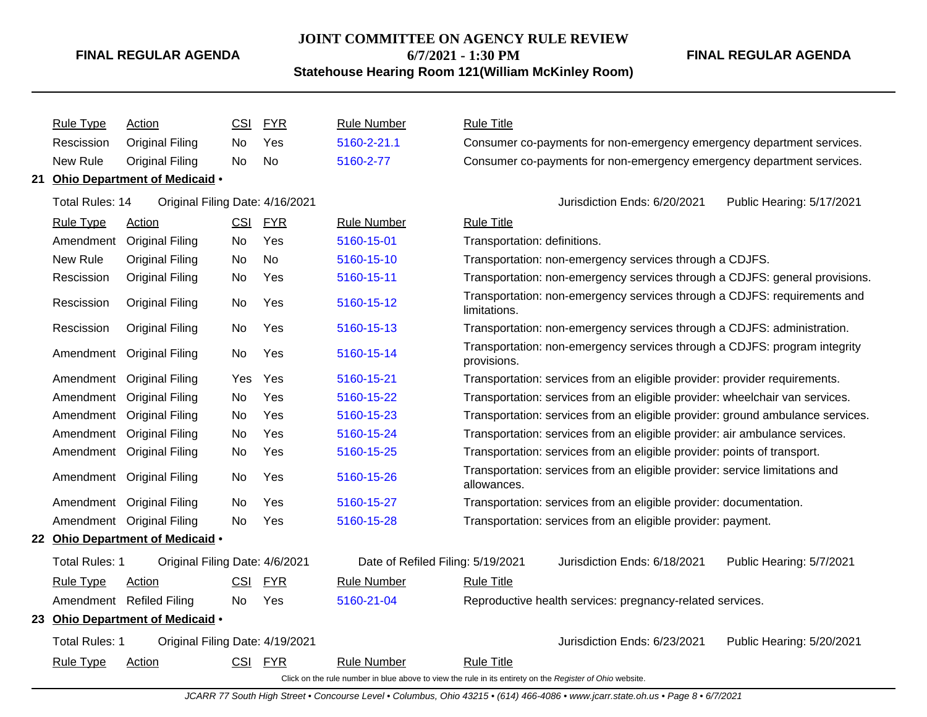# **JOINT COMMITTEE ON AGENCY RULE REVIEW 6/7/2021 - 1:30 PM**

**FINAL REGULAR AGENDA**

**Statehouse Hearing Room 121(William McKinley Room)**

| <b>Rule Type</b>       | Action                           | <b>CSI</b> | <b>FYR</b> | <b>Rule Number</b>                                                                                       | <b>Rule Title</b>            |                                                                                |                           |
|------------------------|----------------------------------|------------|------------|----------------------------------------------------------------------------------------------------------|------------------------------|--------------------------------------------------------------------------------|---------------------------|
| Rescission             | <b>Original Filing</b>           | No         | Yes        | 5160-2-21.1                                                                                              |                              | Consumer co-payments for non-emergency emergency department services.          |                           |
| New Rule               | <b>Original Filing</b>           | No         | No         | 5160-2-77                                                                                                |                              | Consumer co-payments for non-emergency emergency department services.          |                           |
|                        | 21 Ohio Department of Medicaid . |            |            |                                                                                                          |                              |                                                                                |                           |
| <b>Total Rules: 14</b> | Original Filing Date: 4/16/2021  |            |            |                                                                                                          |                              | Jurisdiction Ends: 6/20/2021                                                   | Public Hearing: 5/17/2021 |
| <b>Rule Type</b>       | Action                           | CSI        | <b>FYR</b> | <b>Rule Number</b>                                                                                       | <b>Rule Title</b>            |                                                                                |                           |
| Amendment              | <b>Original Filing</b>           | No         | Yes        | 5160-15-01                                                                                               | Transportation: definitions. |                                                                                |                           |
| New Rule               | <b>Original Filing</b>           | No         | <b>No</b>  | 5160-15-10                                                                                               |                              | Transportation: non-emergency services through a CDJFS.                        |                           |
| Rescission             | <b>Original Filing</b>           | No         | Yes        | 5160-15-11                                                                                               |                              | Transportation: non-emergency services through a CDJFS: general provisions.    |                           |
| Rescission             | <b>Original Filing</b>           | No         | Yes        | 5160-15-12                                                                                               | limitations.                 | Transportation: non-emergency services through a CDJFS: requirements and       |                           |
| Rescission             | <b>Original Filing</b>           | No         | Yes        | 5160-15-13                                                                                               |                              | Transportation: non-emergency services through a CDJFS: administration.        |                           |
| Amendment              | <b>Original Filing</b>           | No         | Yes        | 5160-15-14                                                                                               | provisions.                  | Transportation: non-emergency services through a CDJFS: program integrity      |                           |
| Amendment              | <b>Original Filing</b>           | Yes        | Yes        | 5160-15-21                                                                                               |                              | Transportation: services from an eligible provider: provider requirements.     |                           |
| Amendment              | <b>Original Filing</b>           | No         | Yes        | 5160-15-22                                                                                               |                              | Transportation: services from an eligible provider: wheelchair van services.   |                           |
| Amendment              | <b>Original Filing</b>           | No         | Yes        | 5160-15-23                                                                                               |                              | Transportation: services from an eligible provider: ground ambulance services. |                           |
| Amendment              | <b>Original Filing</b>           | No         | Yes        | 5160-15-24                                                                                               |                              | Transportation: services from an eligible provider: air ambulance services.    |                           |
| Amendment              | <b>Original Filing</b>           | No         | Yes        | 5160-15-25                                                                                               |                              | Transportation: services from an eligible provider: points of transport.       |                           |
|                        | Amendment Original Filing        | No         | Yes        | 5160-15-26                                                                                               | allowances.                  | Transportation: services from an eligible provider: service limitations and    |                           |
|                        | Amendment Original Filing        | <b>No</b>  | Yes        | 5160-15-27                                                                                               |                              | Transportation: services from an eligible provider: documentation.             |                           |
|                        | Amendment Original Filing        | No         | Yes        | 5160-15-28                                                                                               |                              | Transportation: services from an eligible provider: payment.                   |                           |
|                        | 22 Ohio Department of Medicaid . |            |            |                                                                                                          |                              |                                                                                |                           |
| <b>Total Rules: 1</b>  | Original Filing Date: 4/6/2021   |            |            | Date of Refiled Filing: 5/19/2021                                                                        |                              | Jurisdiction Ends: 6/18/2021                                                   | Public Hearing: 5/7/2021  |
| <b>Rule Type</b>       | Action                           | <b>CSI</b> | <u>FYR</u> | <b>Rule Number</b>                                                                                       | <b>Rule Title</b>            |                                                                                |                           |
|                        | Amendment Refiled Filing         | No         | Yes        | 5160-21-04                                                                                               |                              | Reproductive health services: pregnancy-related services.                      |                           |
|                        | 23 Ohio Department of Medicaid . |            |            |                                                                                                          |                              |                                                                                |                           |
| <b>Total Rules: 1</b>  | Original Filing Date: 4/19/2021  |            |            |                                                                                                          |                              | Jurisdiction Ends: 6/23/2021                                                   | Public Hearing: 5/20/2021 |
| <b>Rule Type</b>       | Action                           | CSI        | <b>FYR</b> | <b>Rule Number</b>                                                                                       | <b>Rule Title</b>            |                                                                                |                           |
|                        |                                  |            |            | Click on the rule number in blue above to view the rule in its entirety on the Register of Ohio website. |                              |                                                                                |                           |

JCARR 77 South High Street • Concourse Level • Columbus, Ohio 43215 • (614) 466-4086 • www.jcarr.state.oh.us • Page 8 • 6/7/2021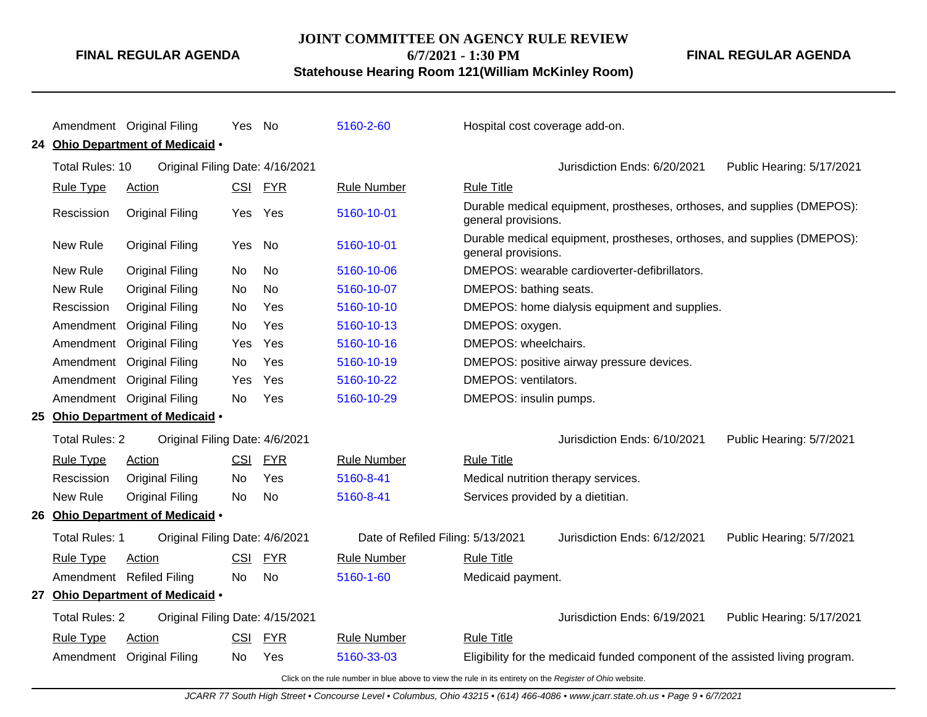**JOINT COMMITTEE ON AGENCY RULE REVIEW**

**6/7/2021 - 1:30 PM**

**Statehouse Hearing Room 121(William McKinley Room)**

**FINAL REGULAR AGENDA**

|                          | Amendment Original Filing        | Yes        | No         | 5160-2-60                         | Hospital cost coverage add-on.      |                                                                               |                           |
|--------------------------|----------------------------------|------------|------------|-----------------------------------|-------------------------------------|-------------------------------------------------------------------------------|---------------------------|
|                          | 24 Ohio Department of Medicaid . |            |            |                                   |                                     |                                                                               |                           |
| Total Rules: 10          | Original Filing Date: 4/16/2021  |            |            |                                   |                                     | Jurisdiction Ends: 6/20/2021                                                  | Public Hearing: 5/17/2021 |
| <b>Rule Type</b>         | <b>Action</b>                    | CSI        | <u>FYR</u> | <b>Rule Number</b>                | <b>Rule Title</b>                   |                                                                               |                           |
| Rescission               | <b>Original Filing</b>           | Yes        | Yes        | 5160-10-01                        | general provisions.                 | Durable medical equipment, prostheses, orthoses, and supplies (DMEPOS):       |                           |
| New Rule                 | <b>Original Filing</b>           | Yes        | No         | 5160-10-01                        | general provisions.                 | Durable medical equipment, prostheses, orthoses, and supplies (DMEPOS):       |                           |
| New Rule                 | <b>Original Filing</b>           | No         | <b>No</b>  | 5160-10-06                        |                                     | DMEPOS: wearable cardioverter-defibrillators.                                 |                           |
| <b>New Rule</b>          | <b>Original Filing</b>           | No         | <b>No</b>  | 5160-10-07                        | DMEPOS: bathing seats.              |                                                                               |                           |
| Rescission               | <b>Original Filing</b>           | No         | Yes        | 5160-10-10                        |                                     | DMEPOS: home dialysis equipment and supplies.                                 |                           |
| Amendment                | <b>Original Filing</b>           | No         | Yes        | 5160-10-13                        | DMEPOS: oxygen.                     |                                                                               |                           |
|                          | Amendment Original Filing        | Yes        | Yes        | 5160-10-16                        | DMEPOS: wheelchairs.                |                                                                               |                           |
|                          | Amendment Original Filing        | No         | Yes        | 5160-10-19                        |                                     | DMEPOS: positive airway pressure devices.                                     |                           |
|                          | Amendment Original Filing        | Yes        | Yes        | 5160-10-22                        | DMEPOS: ventilators.                |                                                                               |                           |
|                          | Amendment Original Filing        | No         | Yes        | 5160-10-29                        | DMEPOS: insulin pumps.              |                                                                               |                           |
|                          | 25 Ohio Department of Medicaid . |            |            |                                   |                                     |                                                                               |                           |
| <b>Total Rules: 2</b>    | Original Filing Date: 4/6/2021   |            |            |                                   |                                     | Jurisdiction Ends: 6/10/2021                                                  | Public Hearing: 5/7/2021  |
| <b>Rule Type</b>         | Action                           | <b>CSI</b> | <b>FYR</b> | <b>Rule Number</b>                | <b>Rule Title</b>                   |                                                                               |                           |
| Rescission               | <b>Original Filing</b>           | No         | Yes        | 5160-8-41                         | Medical nutrition therapy services. |                                                                               |                           |
| New Rule                 | <b>Original Filing</b>           | <b>No</b>  | <b>No</b>  | 5160-8-41                         | Services provided by a dietitian.   |                                                                               |                           |
|                          | 26 Ohio Department of Medicaid . |            |            |                                   |                                     |                                                                               |                           |
| Total Rules: 1           | Original Filing Date: 4/6/2021   |            |            | Date of Refiled Filing: 5/13/2021 |                                     | Jurisdiction Ends: 6/12/2021                                                  | Public Hearing: 5/7/2021  |
| <b>Rule Type</b>         | Action                           | <b>CSI</b> | <b>FYR</b> | <b>Rule Number</b>                | <b>Rule Title</b>                   |                                                                               |                           |
| Amendment Refiled Filing |                                  | No         | No         | 5160-1-60                         | Medicaid payment.                   |                                                                               |                           |
|                          | 27 Ohio Department of Medicaid . |            |            |                                   |                                     |                                                                               |                           |
| <b>Total Rules: 2</b>    | Original Filing Date: 4/15/2021  |            |            |                                   |                                     | Jurisdiction Ends: 6/19/2021                                                  | Public Hearing: 5/17/2021 |
| <b>Rule Type</b>         | <b>Action</b>                    | <b>CSI</b> | <b>FYR</b> | <b>Rule Number</b>                | <b>Rule Title</b>                   |                                                                               |                           |
|                          | Amendment Original Filing        | No         | Yes        | 5160-33-03                        |                                     | Eligibility for the medicaid funded component of the assisted living program. |                           |
|                          |                                  |            |            |                                   |                                     |                                                                               |                           |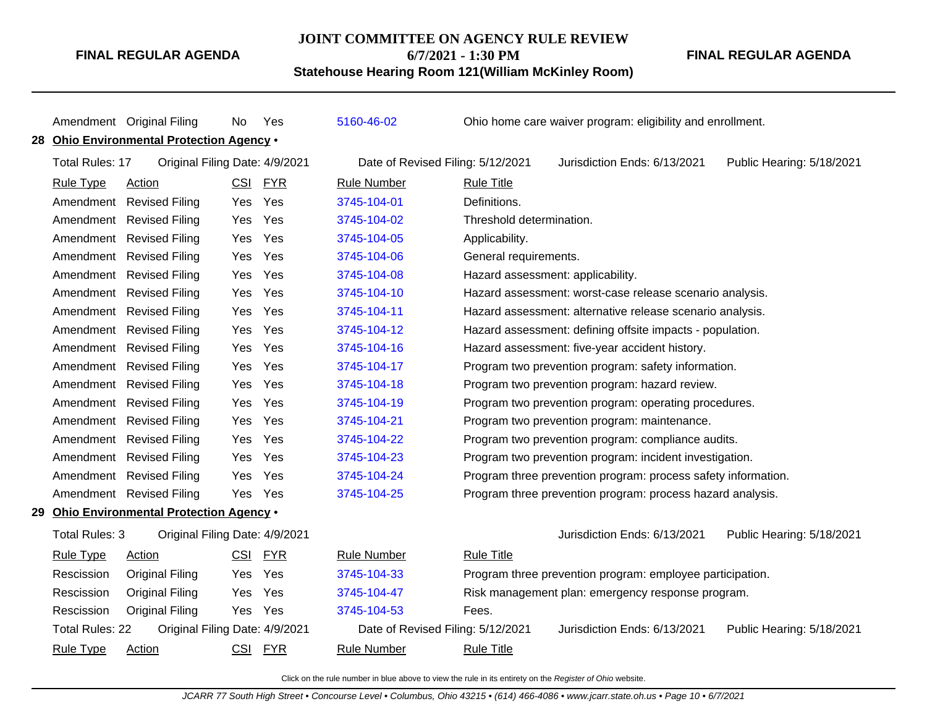#### **JOINT COMMITTEE ON AGENCY RULE REVIEW**

**6/7/2021 - 1:30 PM**

**Statehouse Hearing Room 121(William McKinley Room)**

Amendment Original Filing No Yes [5160-46-02](http://www.registerofohio.state.oh.us/jsps/publicdisplayrules/processPublicDisplayRules.jsp?entered_rule_no=5160-46-02&doWhat=GETBYRULENUM&raID=0) Ohio home care waiver program: eligibility and enrollment. **28 Ohio Environmental Protection Agency** • Total Rules: 17 Original Filing Date: 4/9/2021 Date of Revised Filing: 5/12/2021 Jurisdiction Ends: 6/13/2021 Public Hearing: 5/18/2021 Rule Type Action **CSI FYR** Rule Number Rule Title Amendment Revised Filing Yes Yes [3745-104-01](http://www.registerofohio.state.oh.us/jsps/publicdisplayrules/processPublicDisplayRules.jsp?entered_rule_no=3745-104-01&doWhat=GETBYRULENUM&raID=0) Definitions. Amendment Revised Filing Yes Yes [3745-104-02](http://www.registerofohio.state.oh.us/jsps/publicdisplayrules/processPublicDisplayRules.jsp?entered_rule_no=3745-104-02&doWhat=GETBYRULENUM&raID=0) Threshold determination. Amendment Revised Filing Yes Yes [3745-104-05](http://www.registerofohio.state.oh.us/jsps/publicdisplayrules/processPublicDisplayRules.jsp?entered_rule_no=3745-104-05&doWhat=GETBYRULENUM&raID=0) Applicability. Amendment Revised Filing Yes Yes [3745-104-06](http://www.registerofohio.state.oh.us/jsps/publicdisplayrules/processPublicDisplayRules.jsp?entered_rule_no=3745-104-06&doWhat=GETBYRULENUM&raID=0) General requirements. Amendment Revised Filing Yes Yes [3745-104-08](http://www.registerofohio.state.oh.us/jsps/publicdisplayrules/processPublicDisplayRules.jsp?entered_rule_no=3745-104-08&doWhat=GETBYRULENUM&raID=0) Hazard assessment: applicability. Amendment Revised Filing Yes Yes [3745-104-10](http://www.registerofohio.state.oh.us/jsps/publicdisplayrules/processPublicDisplayRules.jsp?entered_rule_no=3745-104-10&doWhat=GETBYRULENUM&raID=0) Hazard assessment: worst-case release scenario analysis. Amendment Revised Filing Yes Yes [3745-104-11](http://www.registerofohio.state.oh.us/jsps/publicdisplayrules/processPublicDisplayRules.jsp?entered_rule_no=3745-104-11&doWhat=GETBYRULENUM&raID=0) Hazard assessment: alternative release scenario analysis. Amendment Revised Filing Yes Yes [3745-104-12](http://www.registerofohio.state.oh.us/jsps/publicdisplayrules/processPublicDisplayRules.jsp?entered_rule_no=3745-104-12&doWhat=GETBYRULENUM&raID=0) Hazard assessment: defining offsite impacts - population. Amendment Revised Filing Yes Yes [3745-104-16](http://www.registerofohio.state.oh.us/jsps/publicdisplayrules/processPublicDisplayRules.jsp?entered_rule_no=3745-104-16&doWhat=GETBYRULENUM&raID=0) Hazard assessment: five-year accident history. Amendment Revised Filing Yes Yes [3745-104-17](http://www.registerofohio.state.oh.us/jsps/publicdisplayrules/processPublicDisplayRules.jsp?entered_rule_no=3745-104-17&doWhat=GETBYRULENUM&raID=0) Program two prevention program: safety information. Amendment Revised Filing Yes Yes [3745-104-18](http://www.registerofohio.state.oh.us/jsps/publicdisplayrules/processPublicDisplayRules.jsp?entered_rule_no=3745-104-18&doWhat=GETBYRULENUM&raID=0) Program two prevention program: hazard review. Amendment Revised Filing Yes Yes [3745-104-19](http://www.registerofohio.state.oh.us/jsps/publicdisplayrules/processPublicDisplayRules.jsp?entered_rule_no=3745-104-19&doWhat=GETBYRULENUM&raID=0) Program two prevention program: operating procedures. Amendment Revised Filing Yes Yes [3745-104-21](http://www.registerofohio.state.oh.us/jsps/publicdisplayrules/processPublicDisplayRules.jsp?entered_rule_no=3745-104-21&doWhat=GETBYRULENUM&raID=0) Program two prevention program: maintenance. Amendment Revised Filing Yes Yes [3745-104-22](http://www.registerofohio.state.oh.us/jsps/publicdisplayrules/processPublicDisplayRules.jsp?entered_rule_no=3745-104-22&doWhat=GETBYRULENUM&raID=0) Program two prevention program: compliance audits. Amendment Revised Filing Yes Yes [3745-104-23](http://www.registerofohio.state.oh.us/jsps/publicdisplayrules/processPublicDisplayRules.jsp?entered_rule_no=3745-104-23&doWhat=GETBYRULENUM&raID=0) Program two prevention program: incident investigation. Amendment Revised Filing Yes Yes [3745-104-24](http://www.registerofohio.state.oh.us/jsps/publicdisplayrules/processPublicDisplayRules.jsp?entered_rule_no=3745-104-24&doWhat=GETBYRULENUM&raID=0) Program three prevention program: process safety information. Amendment Revised Filing Yes Yes [3745-104-25](http://www.registerofohio.state.oh.us/jsps/publicdisplayrules/processPublicDisplayRules.jsp?entered_rule_no=3745-104-25&doWhat=GETBYRULENUM&raID=0) Program three prevention program: process hazard analysis. **29 Ohio Environmental Protection Agency** • Total Rules: 3 Original Filing Date: 4/9/2021 Jurisdiction Ends: 6/13/2021 Public Hearing: 5/18/2021 Rule Type Action **CSI FYR** Rule Number Rule Title Rescission Original Filing Yes Yes [3745-104-33](http://www.registerofohio.state.oh.us/jsps/publicdisplayrules/processPublicDisplayRules.jsp?entered_rule_no=3745-104-33&doWhat=GETBYRULENUM&raID=0) Program three prevention program: employee participation. Rescission Original Filing Yes Yes [3745-104-47](http://www.registerofohio.state.oh.us/jsps/publicdisplayrules/processPublicDisplayRules.jsp?entered_rule_no=3745-104-47&doWhat=GETBYRULENUM&raID=0) Risk management plan: emergency response program. Rescission Original Filing Yes Yes [3745-104-53](http://www.registerofohio.state.oh.us/jsps/publicdisplayrules/processPublicDisplayRules.jsp?entered_rule_no=3745-104-53&doWhat=GETBYRULENUM&raID=0) Fees. Total Rules: 22 Original Filing Date: 4/9/2021 Date of Revised Filing: 5/12/2021 Jurisdiction Ends: 6/13/2021 Public Hearing: 5/18/2021 Rule Type Action **CSI FYR** Rule Number Rule Title

Click on the rule number in blue above to view the rule in its entirety on the Register of Ohio website.

**FINAL REGULAR AGENDA**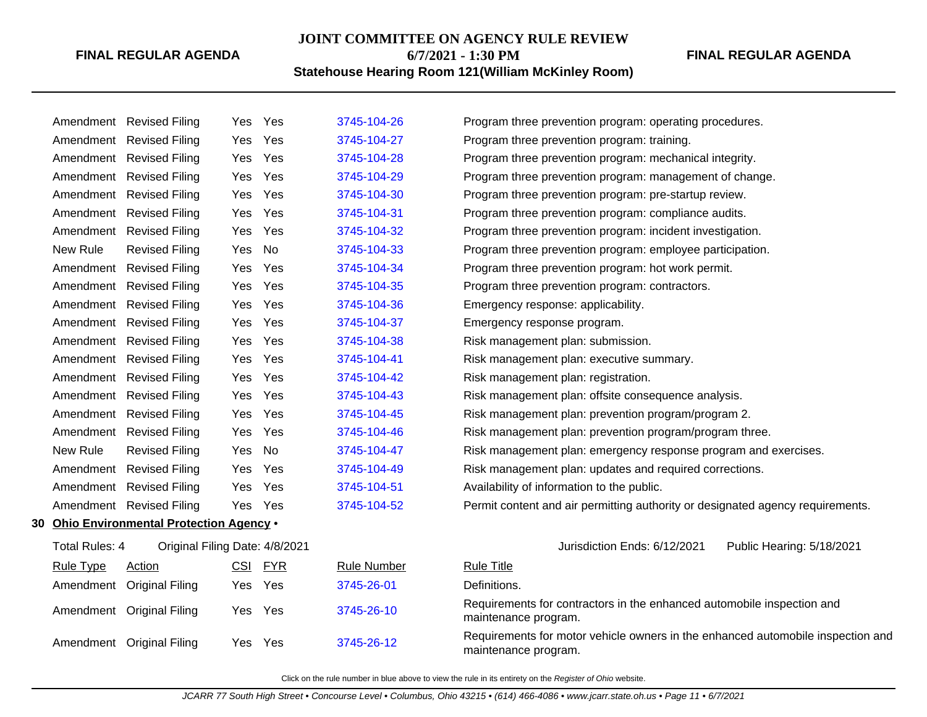# **JOINT COMMITTEE ON AGENCY RULE REVIEW**

**6/7/2021 - 1:30 PM Statehouse Hearing Room 121(William McKinley Room)** **FINAL REGULAR AGENDA**

|      |                  | Amendment Revised Filing               |            | Yes Yes    | 3745-104-26        | Program three prevention program: operating procedures.                                                 |
|------|------------------|----------------------------------------|------------|------------|--------------------|---------------------------------------------------------------------------------------------------------|
|      |                  | Amendment Revised Filing               | Yes        | Yes        | 3745-104-27        | Program three prevention program: training.                                                             |
|      |                  | Amendment Revised Filing               | Yes        | Yes        | 3745-104-28        | Program three prevention program: mechanical integrity.                                                 |
|      |                  | Amendment Revised Filing               | Yes        | Yes        | 3745-104-29        | Program three prevention program: management of change.                                                 |
|      |                  | Amendment Revised Filing               | Yes        | Yes        | 3745-104-30        | Program three prevention program: pre-startup review.                                                   |
|      |                  | Amendment Revised Filing               | Yes        | Yes        | 3745-104-31        | Program three prevention program: compliance audits.                                                    |
|      |                  | Amendment Revised Filing               | Yes        | Yes        | 3745-104-32        | Program three prevention program: incident investigation.                                               |
|      | New Rule         | <b>Revised Filing</b>                  | Yes        | No         | 3745-104-33        | Program three prevention program: employee participation.                                               |
|      |                  | Amendment Revised Filing               | Yes        | Yes        | 3745-104-34        | Program three prevention program: hot work permit.                                                      |
|      |                  | Amendment Revised Filing               | Yes        | Yes        | 3745-104-35        | Program three prevention program: contractors.                                                          |
|      |                  | Amendment Revised Filing               | Yes        | Yes        | 3745-104-36        | Emergency response: applicability.                                                                      |
|      |                  | Amendment Revised Filing               | Yes        | Yes        | 3745-104-37        | Emergency response program.                                                                             |
|      |                  | Amendment Revised Filing               | Yes        | Yes        | 3745-104-38        | Risk management plan: submission.                                                                       |
|      |                  | Amendment Revised Filing               | Yes        | Yes        | 3745-104-41        | Risk management plan: executive summary.                                                                |
|      |                  | Amendment Revised Filing               | Yes        | Yes        | 3745-104-42        | Risk management plan: registration.                                                                     |
|      |                  | Amendment Revised Filing               | Yes        | Yes        | 3745-104-43        | Risk management plan: offsite consequence analysis.                                                     |
|      |                  | Amendment Revised Filing               | Yes        | Yes        | 3745-104-45        | Risk management plan: prevention program/program 2.                                                     |
|      |                  | Amendment Revised Filing               | Yes        | Yes        | 3745-104-46        | Risk management plan: prevention program/program three.                                                 |
|      | New Rule         | <b>Revised Filing</b>                  | Yes        | No         | 3745-104-47        | Risk management plan: emergency response program and exercises.                                         |
|      |                  | Amendment Revised Filing               | Yes        | Yes        | 3745-104-49        | Risk management plan: updates and required corrections.                                                 |
|      |                  | Amendment Revised Filing               | Yes        | Yes        | 3745-104-51        | Availability of information to the public.                                                              |
|      |                  | Amendment Revised Filing               |            | Yes Yes    | 3745-104-52        | Permit content and air permitting authority or designated agency requirements.                          |
| 30 - |                  | Ohio Environmental Protection Agency . |            |            |                    |                                                                                                         |
|      | Total Rules: 4   | Original Filing Date: 4/8/2021         |            |            |                    | Jurisdiction Ends: 6/12/2021<br>Public Hearing: 5/18/2021                                               |
|      | <b>Rule Type</b> | Action                                 | <u>CSI</u> | <b>FYR</b> | <b>Rule Number</b> | <b>Rule Title</b>                                                                                       |
|      |                  | Amendment Original Filing              |            | Yes Yes    | 3745-26-01         | Definitions.                                                                                            |
|      |                  | Amendment Original Filing              | Yes        | Yes        | 3745-26-10         | Requirements for contractors in the enhanced automobile inspection and<br>maintenance program.          |
|      |                  | Amendment Original Filing              |            | Yes Yes    | 3745-26-12         | Requirements for motor vehicle owners in the enhanced automobile inspection and<br>maintenance program. |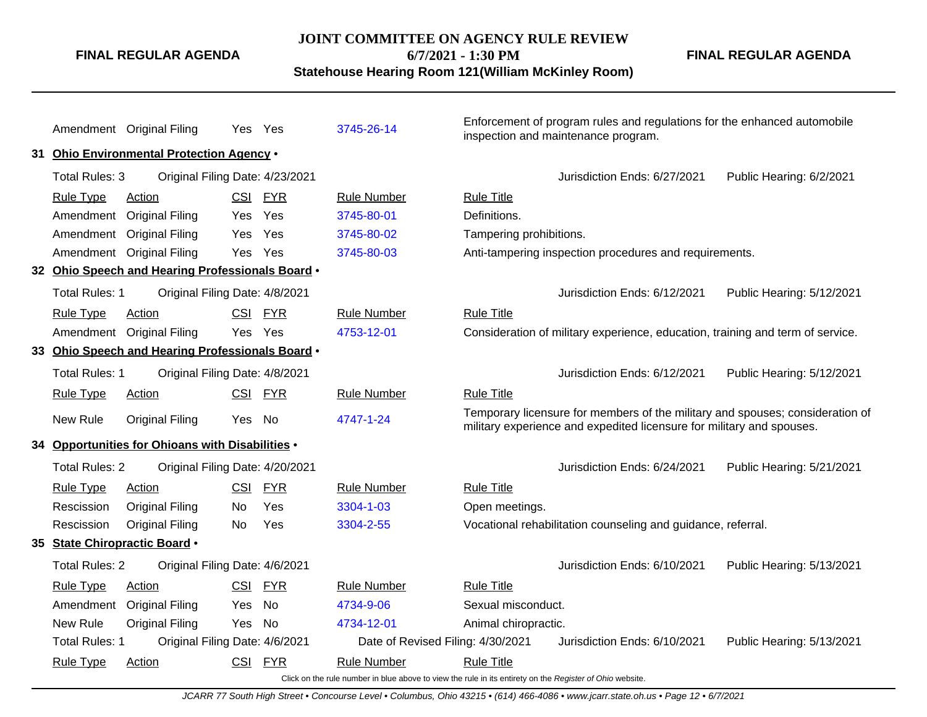#### **JOINT COMMITTEE ON AGENCY RULE REVIEW**

**FINAL REGULAR AGENDA**

**6/7/2021 - 1:30 PM**

**FINAL REGULAR AGENDA**

**Statehouse Hearing Room 121(William McKinley Room)**

Amendment Original Filing Yes Yes [3745-26-14](http://www.registerofohio.state.oh.us/jsps/publicdisplayrules/processPublicDisplayRules.jsp?entered_rule_no=3745-26-14&doWhat=GETBYRULENUM&raID=0) Enforcement of program rules and regulations for the enhanced automobile inspection and maintenance program. **31 Ohio Environmental Protection Agency** • Total Rules: 3 Original Filing Date: 4/23/2021 Jurisdiction Ends: 6/27/2021 Public Hearing: 6/2/2021 Rule Type Action **CSI FYR** Rule Number Rule Title Amendment Original Filing Yes Yes [3745-80-01](http://www.registerofohio.state.oh.us/jsps/publicdisplayrules/processPublicDisplayRules.jsp?entered_rule_no=3745-80-01&doWhat=GETBYRULENUM&raID=0) Definitions. Amendment Original Filing Yes Yes [3745-80-02](http://www.registerofohio.state.oh.us/jsps/publicdisplayrules/processPublicDisplayRules.jsp?entered_rule_no=3745-80-02&doWhat=GETBYRULENUM&raID=0) Tampering prohibitions. Amendment Original Filing Yes Yes [3745-80-03](http://www.registerofohio.state.oh.us/jsps/publicdisplayrules/processPublicDisplayRules.jsp?entered_rule_no=3745-80-03&doWhat=GETBYRULENUM&raID=0) Anti-tampering inspection procedures and requirements. **32 Ohio Speech and Hearing Professionals Board** • Total Rules: 1 Original Filing Date: 4/8/2021 <br>
Jurisdiction Ends: 6/12/2021 Public Hearing: 5/12/2021 Rule Type Action **CSI FYR** Rule Number Rule Title Amendment Original Filing Yes Yes [4753-12-01](http://www.registerofohio.state.oh.us/jsps/publicdisplayrules/processPublicDisplayRules.jsp?entered_rule_no=4753-12-01&doWhat=GETBYRULENUM&raID=0) Consideration of military experience, education, training and term of service. **33 Ohio Speech and Hearing Professionals Board** • Total Rules: 1 Original Filing Date: 4/8/2021 Jurisdiction Ends: 6/12/2021 Public Hearing: 5/12/2021 Rule Type Action **CSI FYR** Rule Number Rule Title New Rule Original Filing Yes No [4747-1-24](http://www.registerofohio.state.oh.us/jsps/publicdisplayrules/processPublicDisplayRules.jsp?entered_rule_no=4747-1-24&doWhat=GETBYRULENUM&raID=0) Temporary licensure for members of the military and spouses; consideration of military experience and expedited licensure for military and spouses. **34 Opportunities for Ohioans with Disabilities** • Total Rules: 2 Original Filing Date: 4/20/2021 Jurisdiction Ends: 6/24/2021 Public Hearing: 5/21/2021 Rule Type Action **CSI FYR** Rule Number Rule Title Rescission Original Filing No Yes [3304-1-03](http://www.registerofohio.state.oh.us/jsps/publicdisplayrules/processPublicDisplayRules.jsp?entered_rule_no=3304-1-03&doWhat=GETBYRULENUM&raID=0) Open meetings. Rescission Original Filing No Yes [3304-2-55](http://www.registerofohio.state.oh.us/jsps/publicdisplayrules/processPublicDisplayRules.jsp?entered_rule_no=3304-2-55&doWhat=GETBYRULENUM&raID=0) Vocational rehabilitation counseling and guidance, referral. **35 State Chiropractic Board** • Total Rules: 2 Original Filing Date: 4/6/2021 Jurisdiction Ends: 6/10/2021 Public Hearing: 5/13/2021 Rule Type Action **CSI FYR** Rule Number Rule Title Amendment Original Filing Yes No [4734-9-06](http://www.registerofohio.state.oh.us/jsps/publicdisplayrules/processPublicDisplayRules.jsp?entered_rule_no=4734-9-06&doWhat=GETBYRULENUM&raID=0) Sexual misconduct. New Rule Original Filing Yes No [4734-12-01](http://www.registerofohio.state.oh.us/jsps/publicdisplayrules/processPublicDisplayRules.jsp?entered_rule_no=4734-12-01&doWhat=GETBYRULENUM&raID=0) Animal chiropractic. Total Rules: 1 Original Filing Date: 4/6/2021 Date of Revised Filing: 4/30/2021 Jurisdiction Ends: 6/10/2021 Public Hearing: 5/13/2021 Rule Type Action **CSI FYR** Rule Number Rule Title

Click on the rule number in blue above to view the rule in its entirety on the Register of Ohio website.

JCARR 77 South High Street • Concourse Level • Columbus, Ohio 43215 • (614) 466-4086 • www.jcarr.state.oh.us • Page 12 • 6/7/2021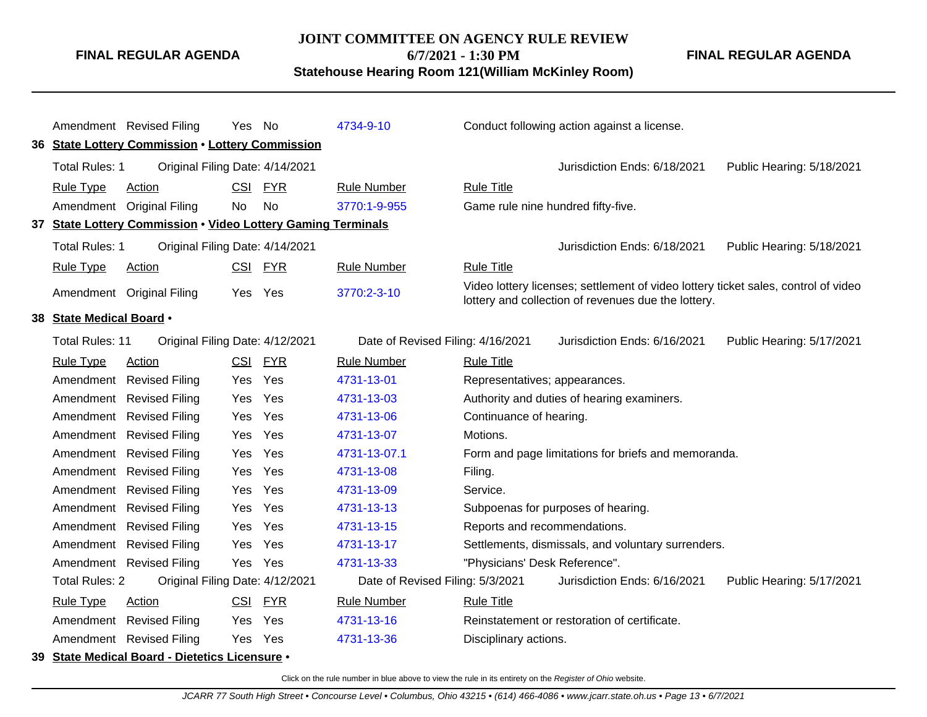#### **JOINT COMMITTEE ON AGENCY RULE REVIEW**

**FINAL REGULAR AGENDA**

**6/7/2021 - 1:30 PM**

**Statehouse Hearing Room 121(William McKinley Room)**

**FINAL REGULAR AGENDA**

|                          | Amendment Revised Filing                                     | Yes No     |            | 4734-9-10                         | Conduct following action against a license.                                                                                               |
|--------------------------|--------------------------------------------------------------|------------|------------|-----------------------------------|-------------------------------------------------------------------------------------------------------------------------------------------|
|                          | 36 State Lottery Commission . Lottery Commission             |            |            |                                   |                                                                                                                                           |
| Total Rules: 1           | Original Filing Date: 4/14/2021                              |            |            |                                   | Jurisdiction Ends: 6/18/2021<br>Public Hearing: 5/18/2021                                                                                 |
| <b>Rule Type</b>         | Action                                                       | <b>CSI</b> | <b>FYR</b> | <b>Rule Number</b>                | <b>Rule Title</b>                                                                                                                         |
|                          | Amendment Original Filing                                    | <b>No</b>  | No         | 3770:1-9-955                      | Game rule nine hundred fifty-five.                                                                                                        |
|                          | 37 State Lottery Commission . Video Lottery Gaming Terminals |            |            |                                   |                                                                                                                                           |
| <b>Total Rules: 1</b>    | Original Filing Date: 4/14/2021                              |            |            |                                   | Jurisdiction Ends: 6/18/2021<br>Public Hearing: 5/18/2021                                                                                 |
| <b>Rule Type</b>         | Action                                                       | <b>CSI</b> | <u>FYR</u> | <b>Rule Number</b>                | <b>Rule Title</b>                                                                                                                         |
|                          | Amendment Original Filing                                    | <b>Yes</b> | Yes        | 3770:2-3-10                       | Video lottery licenses; settlement of video lottery ticket sales, control of video<br>lottery and collection of revenues due the lottery. |
| 38 State Medical Board . |                                                              |            |            |                                   |                                                                                                                                           |
| <b>Total Rules: 11</b>   | Original Filing Date: 4/12/2021                              |            |            | Date of Revised Filing: 4/16/2021 | Jurisdiction Ends: 6/16/2021<br>Public Hearing: 5/17/2021                                                                                 |
| <b>Rule Type</b>         | <b>Action</b>                                                | CSI        | <u>FYR</u> | <b>Rule Number</b>                | <b>Rule Title</b>                                                                                                                         |
|                          | Amendment Revised Filing                                     | Yes        | Yes        | 4731-13-01                        | Representatives; appearances.                                                                                                             |
|                          | Amendment Revised Filing                                     | <b>Yes</b> | Yes        | 4731-13-03                        | Authority and duties of hearing examiners.                                                                                                |
|                          | Amendment Revised Filing                                     | <b>Yes</b> | Yes        | 4731-13-06                        | Continuance of hearing.                                                                                                                   |
|                          | Amendment Revised Filing                                     | Yes        | Yes        | 4731-13-07                        | Motions.                                                                                                                                  |
|                          | Amendment Revised Filing                                     | Yes        | Yes        | 4731-13-07.1                      | Form and page limitations for briefs and memoranda.                                                                                       |
|                          | Amendment Revised Filing                                     | <b>Yes</b> | Yes        | 4731-13-08                        | Filing.                                                                                                                                   |
|                          | Amendment Revised Filing                                     | Yes        | Yes        | 4731-13-09                        | Service.                                                                                                                                  |
|                          | Amendment Revised Filing                                     | Yes        | Yes        | 4731-13-13                        | Subpoenas for purposes of hearing.                                                                                                        |
|                          | Amendment Revised Filing                                     | <b>Yes</b> | Yes        | 4731-13-15                        | Reports and recommendations.                                                                                                              |
|                          | Amendment Revised Filing                                     | <b>Yes</b> | Yes        | 4731-13-17                        | Settlements, dismissals, and voluntary surrenders.                                                                                        |
|                          | Amendment Revised Filing                                     | Yes        | Yes        | 4731-13-33                        | "Physicians' Desk Reference".                                                                                                             |
| <b>Total Rules: 2</b>    | Original Filing Date: 4/12/2021                              |            |            | Date of Revised Filing: 5/3/2021  | Jurisdiction Ends: 6/16/2021<br>Public Hearing: 5/17/2021                                                                                 |
| <b>Rule Type</b>         | Action                                                       | CSI        | <b>FYR</b> | <b>Rule Number</b>                | <b>Rule Title</b>                                                                                                                         |
|                          | Amendment Revised Filing                                     | <b>Yes</b> | Yes        | 4731-13-16                        | Reinstatement or restoration of certificate.                                                                                              |
|                          | Amendment Revised Filing                                     | Yes        | Yes        | 4731-13-36                        | Disciplinary actions.                                                                                                                     |
|                          | 39 State Medical Board - Dietetics Licensure .               |            |            |                                   |                                                                                                                                           |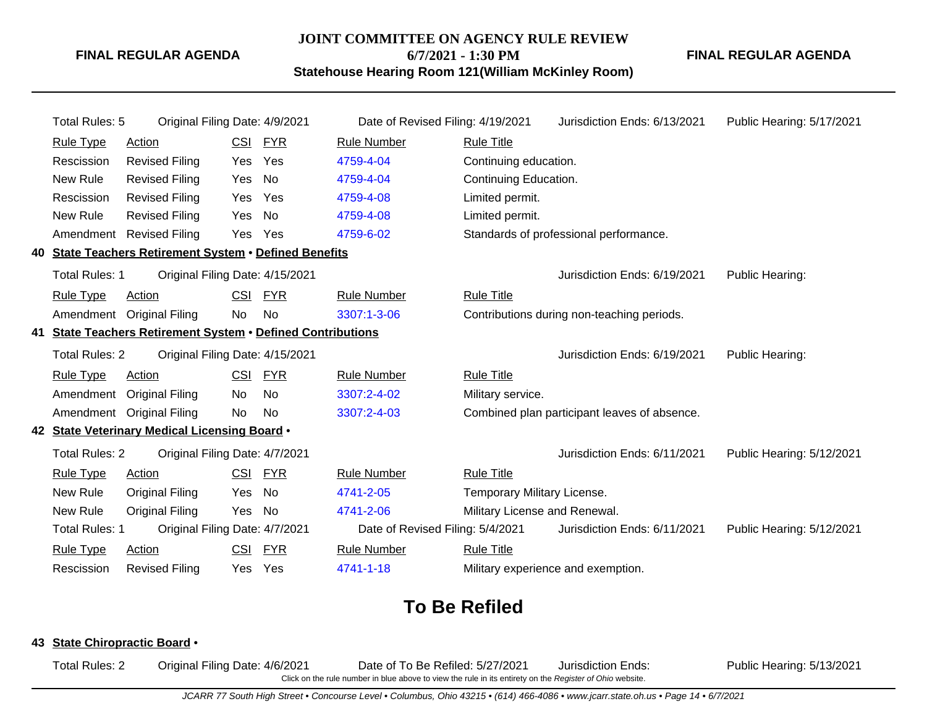### **JOINT COMMITTEE ON AGENCY RULE REVIEW 6/7/2021 - 1:30 PM**

**FINAL REGULAR AGENDA**

**Statehouse Hearing Room 121(William McKinley Room)**

| Total Rules: 5        | Original Filing Date: 4/9/2021                              |            |            | Date of Revised Filing: 4/19/2021 |                                    | Jurisdiction Ends: 6/13/2021                 | Public Hearing: 5/17/2021 |
|-----------------------|-------------------------------------------------------------|------------|------------|-----------------------------------|------------------------------------|----------------------------------------------|---------------------------|
| <b>Rule Type</b>      | <b>Action</b>                                               | <b>CSI</b> | <b>FYR</b> | <b>Rule Number</b>                | <b>Rule Title</b>                  |                                              |                           |
| Rescission            | <b>Revised Filing</b>                                       | Yes        | Yes        | 4759-4-04                         | Continuing education.              |                                              |                           |
| New Rule              | <b>Revised Filing</b>                                       | Yes        | No         | 4759-4-04                         | Continuing Education.              |                                              |                           |
| Rescission            | <b>Revised Filing</b>                                       | Yes        | Yes        | 4759-4-08                         | Limited permit.                    |                                              |                           |
| New Rule              | <b>Revised Filing</b>                                       | Yes        | No         | 4759-4-08                         | Limited permit.                    |                                              |                           |
| Amendment             | <b>Revised Filing</b>                                       | Yes        | Yes        | 4759-6-02                         |                                    | Standards of professional performance.       |                           |
|                       | 40 State Teachers Retirement System . Defined Benefits      |            |            |                                   |                                    |                                              |                           |
| <b>Total Rules: 1</b> | Original Filing Date: 4/15/2021                             |            |            |                                   |                                    | Jurisdiction Ends: 6/19/2021                 | Public Hearing:           |
| <b>Rule Type</b>      | Action                                                      | <b>CSI</b> | <b>FYR</b> | <b>Rule Number</b>                | <b>Rule Title</b>                  |                                              |                           |
|                       | Amendment Original Filing                                   | No         | <b>No</b>  | 3307:1-3-06                       |                                    | Contributions during non-teaching periods.   |                           |
|                       | 41 State Teachers Retirement System . Defined Contributions |            |            |                                   |                                    |                                              |                           |
| <b>Total Rules: 2</b> | Original Filing Date: 4/15/2021                             |            |            |                                   |                                    | Jurisdiction Ends: 6/19/2021                 | Public Hearing:           |
| <b>Rule Type</b>      | Action                                                      | <b>CSI</b> | <b>FYR</b> | <b>Rule Number</b>                | <b>Rule Title</b>                  |                                              |                           |
| Amendment             | <b>Original Filing</b>                                      | No         | No         | 3307:2-4-02                       | Military service.                  |                                              |                           |
|                       | Amendment Original Filing                                   | No         | No         | 3307:2-4-03                       |                                    | Combined plan participant leaves of absence. |                           |
|                       | 42 State Veterinary Medical Licensing Board .               |            |            |                                   |                                    |                                              |                           |
| <b>Total Rules: 2</b> | Original Filing Date: 4/7/2021                              |            |            |                                   |                                    | Jurisdiction Ends: 6/11/2021                 | Public Hearing: 5/12/2021 |
| <b>Rule Type</b>      | <b>Action</b>                                               | <b>CSI</b> | <u>FYR</u> | <b>Rule Number</b>                | <b>Rule Title</b>                  |                                              |                           |
| New Rule              | <b>Original Filing</b>                                      | Yes        | No         | 4741-2-05                         | Temporary Military License.        |                                              |                           |
| New Rule              | <b>Original Filing</b>                                      | Yes        | No         | 4741-2-06                         | Military License and Renewal.      |                                              |                           |
| <b>Total Rules: 1</b> | Original Filing Date: 4/7/2021                              |            |            | Date of Revised Filing: 5/4/2021  |                                    | Jurisdiction Ends: 6/11/2021                 | Public Hearing: 5/12/2021 |
| <b>Rule Type</b>      | Action                                                      | <b>CSI</b> | <u>FYR</u> | <b>Rule Number</b>                | <b>Rule Title</b>                  |                                              |                           |
| Rescission            | <b>Revised Filing</b>                                       | Yes        | Yes        | 4741-1-18                         | Military experience and exemption. |                                              |                           |

# **To Be Refiled**

#### **43 State Chiropractic Board** •

Total Rules: 2 Original Filing Date: 4/6/2021 Date of To Be Refiled: 5/27/2021 Jurisdiction Ends: Public Hearing: 5/13/2021 Click on the rule number in blue above to view the rule in its entirety on the Register of Ohio website.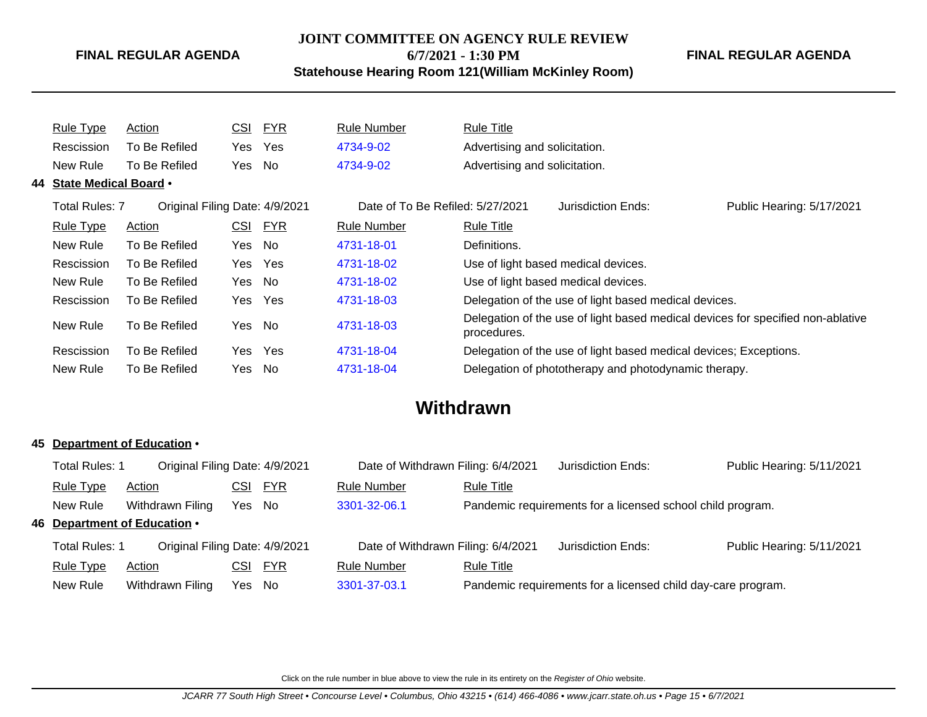## **JOINT COMMITTEE ON AGENCY RULE REVIEW**

**6/7/2021 - 1:30 PM**

**Statehouse Hearing Room 121(William McKinley Room)**

**FINAL REGULAR AGENDA**

| <b>Rule Type</b>         | Action                         | <u>CSI</u> | <u>FYR</u> | <b>Rule Number</b>               | <b>Rule Title</b>                                                                              |
|--------------------------|--------------------------------|------------|------------|----------------------------------|------------------------------------------------------------------------------------------------|
| Rescission               | To Be Refiled                  | Yes.       | Yes        | 4734-9-02                        | Advertising and solicitation.                                                                  |
| New Rule                 | To Be Refiled                  | Yes        | No         | 4734-9-02                        | Advertising and solicitation.                                                                  |
| 44 State Medical Board . |                                |            |            |                                  |                                                                                                |
| Total Rules: 7           | Original Filing Date: 4/9/2021 |            |            | Date of To Be Refiled: 5/27/2021 | Public Hearing: 5/17/2021<br>Jurisdiction Ends:                                                |
| <u>Rule Type</u>         | Action                         | <u>CSI</u> | <u>FYR</u> | <b>Rule Number</b>               | Rule Title                                                                                     |
| New Rule                 | To Be Refiled                  | Yes        | No.        | 4731-18-01                       | Definitions.                                                                                   |
| Rescission               | To Be Refiled                  | Yes        | Yes        | 4731-18-02                       | Use of light based medical devices.                                                            |
| New Rule                 | To Be Refiled                  | Yes No     |            | 4731-18-02                       | Use of light based medical devices.                                                            |
| Rescission               | To Be Refiled                  | Yes        | Yes        | 4731-18-03                       | Delegation of the use of light based medical devices.                                          |
| New Rule                 | To Be Refiled                  | Yes        | No         | 4731-18-03                       | Delegation of the use of light based medical devices for specified non-ablative<br>procedures. |
| Rescission               | To Be Refiled                  | Yes        | Yes        | 4731-18-04                       | Delegation of the use of light based medical devices; Exceptions.                              |
| New Rule                 | To Be Refiled                  | Yes        | No.        | 4731-18-04                       | Delegation of phototherapy and photodynamic therapy.                                           |

# **Withdrawn**

#### **45 Department of Education** •

|                                                                                                                      | Total Rules: 1<br>Original Filing Date: 4/9/2021        |                  |        | Date of Withdrawn Filing: 6/4/2021 |                    | Jurisdiction Ends: | Public Hearing: 5/11/2021                                    |  |
|----------------------------------------------------------------------------------------------------------------------|---------------------------------------------------------|------------------|--------|------------------------------------|--------------------|--------------------|--------------------------------------------------------------|--|
|                                                                                                                      | <b>Rule Type</b>                                        | Action           | CSI    | <u>FYR</u>                         | <b>Rule Number</b> | <b>Rule Title</b>  |                                                              |  |
| Pandemic requirements for a licensed school child program.<br>3301-32-06.1<br>New Rule<br>Withdrawn Filing<br>Yes No |                                                         |                  |        |                                    |                    |                    |                                                              |  |
|                                                                                                                      | 46 Department of Education .                            |                  |        |                                    |                    |                    |                                                              |  |
|                                                                                                                      | <b>Total Rules: 1</b><br>Original Filing Date: 4/9/2021 |                  |        | Date of Withdrawn Filing: 6/4/2021 |                    | Jurisdiction Ends: | Public Hearing: 5/11/2021                                    |  |
|                                                                                                                      | <b>Rule Type</b>                                        | Action           | CSI    | <u>FYR</u>                         | <b>Rule Number</b> | <b>Rule Title</b>  |                                                              |  |
|                                                                                                                      | New Rule                                                | Withdrawn Filing | Yes No |                                    | 3301-37-03.1       |                    | Pandemic requirements for a licensed child day-care program. |  |
|                                                                                                                      |                                                         |                  |        |                                    |                    |                    |                                                              |  |